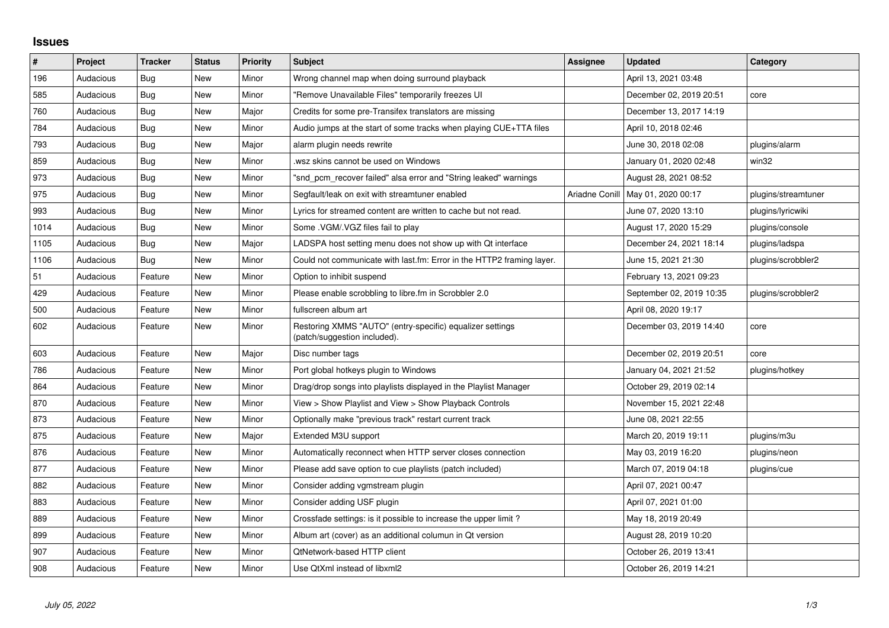## **Issues**

| $\vert$ # | Project   | <b>Tracker</b> | <b>Status</b> | <b>Priority</b> | <b>Subject</b>                                                                            | <b>Assignee</b> | <b>Updated</b>           | Category            |
|-----------|-----------|----------------|---------------|-----------------|-------------------------------------------------------------------------------------------|-----------------|--------------------------|---------------------|
| 196       | Audacious | Bug            | <b>New</b>    | Minor           | Wrong channel map when doing surround playback                                            |                 | April 13, 2021 03:48     |                     |
| 585       | Audacious | <b>Bug</b>     | <b>New</b>    | Minor           | "Remove Unavailable Files" temporarily freezes UI                                         |                 | December 02, 2019 20:51  | core                |
| 760       | Audacious | <b>Bug</b>     | New           | Major           | Credits for some pre-Transifex translators are missing                                    |                 | December 13, 2017 14:19  |                     |
| 784       | Audacious | <b>Bug</b>     | <b>New</b>    | Minor           | Audio jumps at the start of some tracks when playing CUE+TTA files                        |                 | April 10, 2018 02:46     |                     |
| 793       | Audacious | <b>Bug</b>     | <b>New</b>    | Major           | alarm plugin needs rewrite                                                                |                 | June 30, 2018 02:08      | plugins/alarm       |
| 859       | Audacious | <b>Bug</b>     | <b>New</b>    | Minor           | wsz skins cannot be used on Windows                                                       |                 | January 01, 2020 02:48   | win32               |
| 973       | Audacious | <b>Bug</b>     | <b>New</b>    | Minor           | "snd_pcm_recover failed" alsa error and "String leaked" warnings                          |                 | August 28, 2021 08:52    |                     |
| 975       | Audacious | Bug            | New           | Minor           | Segfault/leak on exit with streamtuner enabled                                            | Ariadne Conill  | May 01, 2020 00:17       | plugins/streamtuner |
| 993       | Audacious | Bug            | <b>New</b>    | Minor           | Lyrics for streamed content are written to cache but not read.                            |                 | June 07, 2020 13:10      | plugins/lyricwiki   |
| 1014      | Audacious | Bug            | <b>New</b>    | Minor           | Some . VGM/. VGZ files fail to play                                                       |                 | August 17, 2020 15:29    | plugins/console     |
| 1105      | Audacious | <b>Bug</b>     | <b>New</b>    | Major           | LADSPA host setting menu does not show up with Qt interface                               |                 | December 24, 2021 18:14  | plugins/ladspa      |
| 1106      | Audacious | Bug            | <b>New</b>    | Minor           | Could not communicate with last.fm: Error in the HTTP2 framing layer.                     |                 | June 15, 2021 21:30      | plugins/scrobbler2  |
| 51        | Audacious | Feature        | <b>New</b>    | Minor           | Option to inhibit suspend                                                                 |                 | February 13, 2021 09:23  |                     |
| 429       | Audacious | Feature        | <b>New</b>    | Minor           | Please enable scrobbling to libre.fm in Scrobbler 2.0                                     |                 | September 02, 2019 10:35 | plugins/scrobbler2  |
| 500       | Audacious | Feature        | <b>New</b>    | Minor           | fullscreen album art                                                                      |                 | April 08, 2020 19:17     |                     |
| 602       | Audacious | Feature        | New           | Minor           | Restoring XMMS "AUTO" (entry-specific) equalizer settings<br>(patch/suggestion included). |                 | December 03, 2019 14:40  | core                |
| 603       | Audacious | Feature        | <b>New</b>    | Major           | Disc number tags                                                                          |                 | December 02, 2019 20:51  | core                |
| 786       | Audacious | Feature        | <b>New</b>    | Minor           | Port global hotkeys plugin to Windows                                                     |                 | January 04, 2021 21:52   | plugins/hotkey      |
| 864       | Audacious | Feature        | <b>New</b>    | Minor           | Drag/drop songs into playlists displayed in the Playlist Manager                          |                 | October 29, 2019 02:14   |                     |
| 870       | Audacious | Feature        | New           | Minor           | View > Show Playlist and View > Show Playback Controls                                    |                 | November 15, 2021 22:48  |                     |
| 873       | Audacious | Feature        | <b>New</b>    | Minor           | Optionally make "previous track" restart current track                                    |                 | June 08, 2021 22:55      |                     |
| 875       | Audacious | Feature        | <b>New</b>    | Major           | Extended M3U support                                                                      |                 | March 20, 2019 19:11     | plugins/m3u         |
| 876       | Audacious | Feature        | <b>New</b>    | Minor           | Automatically reconnect when HTTP server closes connection                                |                 | May 03, 2019 16:20       | plugins/neon        |
| 877       | Audacious | Feature        | <b>New</b>    | Minor           | Please add save option to cue playlists (patch included)                                  |                 | March 07, 2019 04:18     | plugins/cue         |
| 882       | Audacious | Feature        | <b>New</b>    | Minor           | Consider adding vgmstream plugin                                                          |                 | April 07, 2021 00:47     |                     |
| 883       | Audacious | Feature        | New           | Minor           | Consider adding USF plugin                                                                |                 | April 07, 2021 01:00     |                     |
| 889       | Audacious | Feature        | <b>New</b>    | Minor           | Crossfade settings: is it possible to increase the upper limit?                           |                 | May 18, 2019 20:49       |                     |
| 899       | Audacious | Feature        | <b>New</b>    | Minor           | Album art (cover) as an additional columun in Qt version                                  |                 | August 28, 2019 10:20    |                     |
| 907       | Audacious | Feature        | <b>New</b>    | Minor           | QtNetwork-based HTTP client                                                               |                 | October 26, 2019 13:41   |                     |
| 908       | Audacious | Feature        | <b>New</b>    | Minor           | Use QtXml instead of libxml2                                                              |                 | October 26, 2019 14:21   |                     |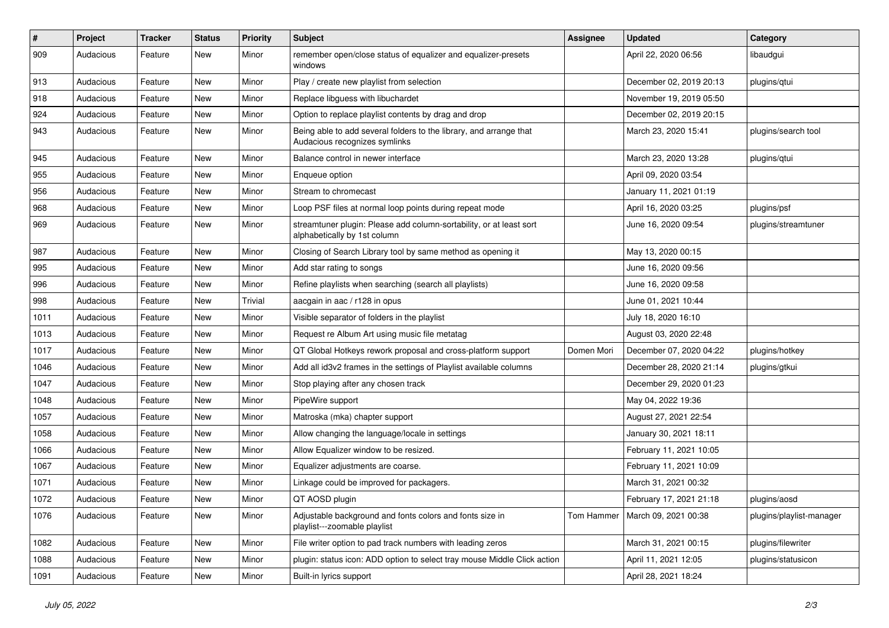| #    | Project   | <b>Tracker</b> | <b>Status</b> | <b>Priority</b> | <b>Subject</b>                                                                                      | <b>Assignee</b> | <b>Updated</b>                    | Category                 |
|------|-----------|----------------|---------------|-----------------|-----------------------------------------------------------------------------------------------------|-----------------|-----------------------------------|--------------------------|
| 909  | Audacious | Feature        | New           | Minor           | remember open/close status of equalizer and equalizer-presets<br>windows                            |                 | April 22, 2020 06:56              | libaudgui                |
| 913  | Audacious | Feature        | New           | Minor           | Play / create new playlist from selection                                                           |                 | December 02, 2019 20:13           | plugins/qtui             |
| 918  | Audacious | Feature        | New           | Minor           | Replace libguess with libuchardet                                                                   |                 | November 19, 2019 05:50           |                          |
| 924  | Audacious | Feature        | New           | Minor           | Option to replace playlist contents by drag and drop                                                |                 | December 02, 2019 20:15           |                          |
| 943  | Audacious | Feature        | New           | Minor           | Being able to add several folders to the library, and arrange that<br>Audacious recognizes symlinks |                 | March 23, 2020 15:41              | plugins/search tool      |
| 945  | Audacious | Feature        | New           | Minor           | Balance control in newer interface                                                                  |                 | March 23, 2020 13:28              | plugins/qtui             |
| 955  | Audacious | Feature        | New           | Minor           | Enqueue option                                                                                      |                 | April 09, 2020 03:54              |                          |
| 956  | Audacious | Feature        | <b>New</b>    | Minor           | Stream to chromecast                                                                                |                 | January 11, 2021 01:19            |                          |
| 968  | Audacious | Feature        | New           | Minor           | Loop PSF files at normal loop points during repeat mode                                             |                 | April 16, 2020 03:25              | plugins/psf              |
| 969  | Audacious | Feature        | New           | Minor           | streamtuner plugin: Please add column-sortability, or at least sort<br>alphabetically by 1st column |                 | June 16, 2020 09:54               | plugins/streamtuner      |
| 987  | Audacious | Feature        | New           | Minor           | Closing of Search Library tool by same method as opening it                                         |                 | May 13, 2020 00:15                |                          |
| 995  | Audacious | Feature        | New           | Minor           | Add star rating to songs                                                                            |                 | June 16, 2020 09:56               |                          |
| 996  | Audacious | Feature        | New           | Minor           | Refine playlists when searching (search all playlists)                                              |                 | June 16, 2020 09:58               |                          |
| 998  | Audacious | Feature        | New           | Trivial         | aacgain in aac / r128 in opus                                                                       |                 | June 01, 2021 10:44               |                          |
| 1011 | Audacious | Feature        | <b>New</b>    | Minor           | Visible separator of folders in the playlist                                                        |                 | July 18, 2020 16:10               |                          |
| 1013 | Audacious | Feature        | New           | Minor           | Request re Album Art using music file metatag                                                       |                 | August 03, 2020 22:48             |                          |
| 1017 | Audacious | Feature        | New           | Minor           | QT Global Hotkeys rework proposal and cross-platform support                                        | Domen Mori      | December 07, 2020 04:22           | plugins/hotkey           |
| 1046 | Audacious | Feature        | New           | Minor           | Add all id3v2 frames in the settings of Playlist available columns                                  |                 | December 28, 2020 21:14           | plugins/gtkui            |
| 1047 | Audacious | Feature        | New           | Minor           | Stop playing after any chosen track                                                                 |                 | December 29, 2020 01:23           |                          |
| 1048 | Audacious | Feature        | New           | Minor           | PipeWire support                                                                                    |                 | May 04, 2022 19:36                |                          |
| 1057 | Audacious | Feature        | New           | Minor           | Matroska (mka) chapter support                                                                      |                 | August 27, 2021 22:54             |                          |
| 1058 | Audacious | Feature        | New           | Minor           | Allow changing the language/locale in settings                                                      |                 | January 30, 2021 18:11            |                          |
| 1066 | Audacious | Feature        | New           | Minor           | Allow Equalizer window to be resized.                                                               |                 | February 11, 2021 10:05           |                          |
| 1067 | Audacious | Feature        | New           | Minor           | Equalizer adjustments are coarse.                                                                   |                 | February 11, 2021 10:09           |                          |
| 1071 | Audacious | Feature        | New           | Minor           | Linkage could be improved for packagers.                                                            |                 | March 31, 2021 00:32              |                          |
| 1072 | Audacious | Feature        | New           | Minor           | QT AOSD plugin                                                                                      |                 | February 17, 2021 21:18           | plugins/aosd             |
| 1076 | Audacious | Feature        | New           | Minor           | Adjustable background and fonts colors and fonts size in<br>playlist---zoomable playlist            |                 | Tom Hammer   March 09, 2021 00:38 | plugins/playlist-manager |
| 1082 | Audacious | Feature        | New           | Minor           | File writer option to pad track numbers with leading zeros                                          |                 | March 31, 2021 00:15              | plugins/filewriter       |
| 1088 | Audacious | Feature        | New           | Minor           | plugin: status icon: ADD option to select tray mouse Middle Click action                            |                 | April 11, 2021 12:05              | plugins/statusicon       |
| 1091 | Audacious | Feature        | New           | Minor           | Built-in lyrics support                                                                             |                 | April 28, 2021 18:24              |                          |